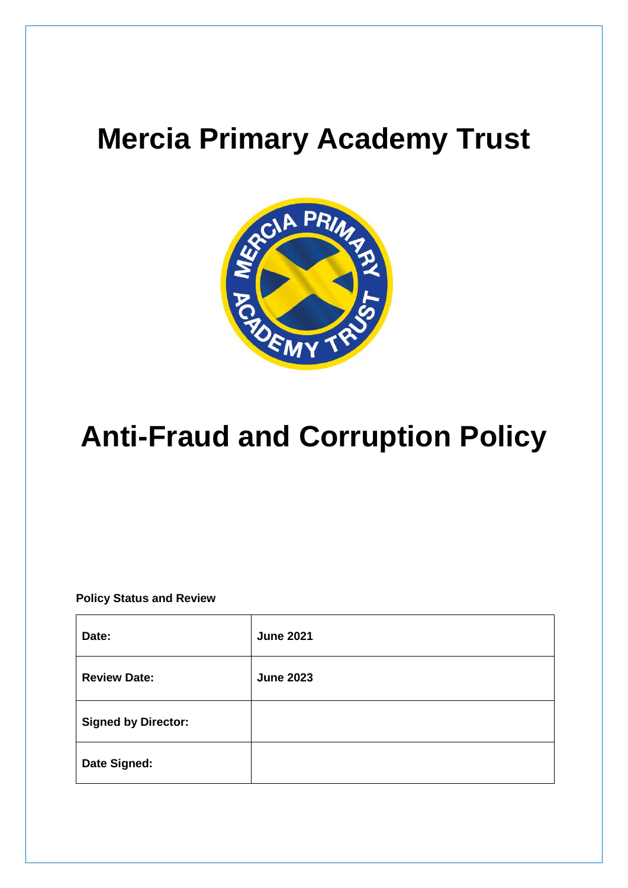# **Mercia Primary Academy Trust**



# **Anti-Fraud and Corruption Policy**

**Policy Status and Review**

| Date:                      | <b>June 2021</b> |
|----------------------------|------------------|
| <b>Review Date:</b>        | <b>June 2023</b> |
| <b>Signed by Director:</b> |                  |
| Date Signed:               |                  |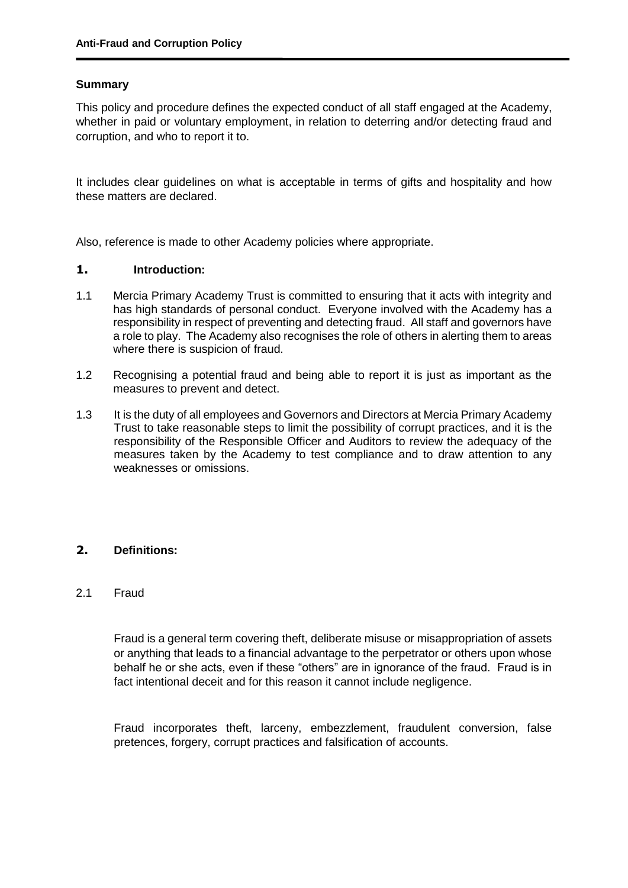### **Summary**

This policy and procedure defines the expected conduct of all staff engaged at the Academy, whether in paid or voluntary employment, in relation to deterring and/or detecting fraud and corruption, and who to report it to.

It includes clear guidelines on what is acceptable in terms of gifts and hospitality and how these matters are declared.

Also, reference is made to other Academy policies where appropriate.

#### **1. Introduction:**

- 1.1 Mercia Primary Academy Trust is committed to ensuring that it acts with integrity and has high standards of personal conduct. Everyone involved with the Academy has a responsibility in respect of preventing and detecting fraud. All staff and governors have a role to play. The Academy also recognises the role of others in alerting them to areas where there is suspicion of fraud.
- 1.2 Recognising a potential fraud and being able to report it is just as important as the measures to prevent and detect.
- 1.3 It is the duty of all employees and Governors and Directors at Mercia Primary Academy Trust to take reasonable steps to limit the possibility of corrupt practices, and it is the responsibility of the Responsible Officer and Auditors to review the adequacy of the measures taken by the Academy to test compliance and to draw attention to any weaknesses or omissions.

# **2. Definitions:**

#### 2.1 Fraud

Fraud is a general term covering theft, deliberate misuse or misappropriation of assets or anything that leads to a financial advantage to the perpetrator or others upon whose behalf he or she acts, even if these "others" are in ignorance of the fraud. Fraud is in fact intentional deceit and for this reason it cannot include negligence.

Fraud incorporates theft, larceny, embezzlement, fraudulent conversion, false pretences, forgery, corrupt practices and falsification of accounts.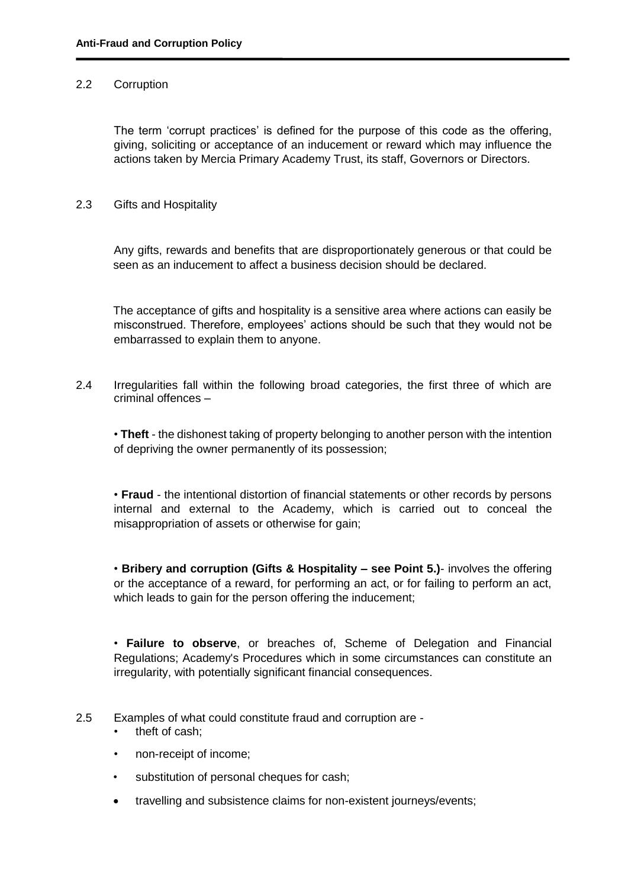#### 2.2 Corruption

The term 'corrupt practices' is defined for the purpose of this code as the offering, giving, soliciting or acceptance of an inducement or reward which may influence the actions taken by Mercia Primary Academy Trust, its staff, Governors or Directors.

### 2.3 Gifts and Hospitality

Any gifts, rewards and benefits that are disproportionately generous or that could be seen as an inducement to affect a business decision should be declared.

The acceptance of gifts and hospitality is a sensitive area where actions can easily be misconstrued. Therefore, employees' actions should be such that they would not be embarrassed to explain them to anyone.

2.4 Irregularities fall within the following broad categories, the first three of which are criminal offences –

• **Theft** - the dishonest taking of property belonging to another person with the intention of depriving the owner permanently of its possession;

• **Fraud** - the intentional distortion of financial statements or other records by persons internal and external to the Academy, which is carried out to conceal the misappropriation of assets or otherwise for gain;

• **Bribery and corruption (Gifts & Hospitality – see Point 5.)**- involves the offering or the acceptance of a reward, for performing an act, or for failing to perform an act, which leads to gain for the person offering the inducement;

• **Failure to observe**, or breaches of, Scheme of Delegation and Financial Regulations; Academy's Procedures which in some circumstances can constitute an irregularity, with potentially significant financial consequences.

- 2.5 Examples of what could constitute fraud and corruption are
	- theft of cash;
	- non-receipt of income;
	- substitution of personal cheques for cash;
	- travelling and subsistence claims for non-existent journeys/events;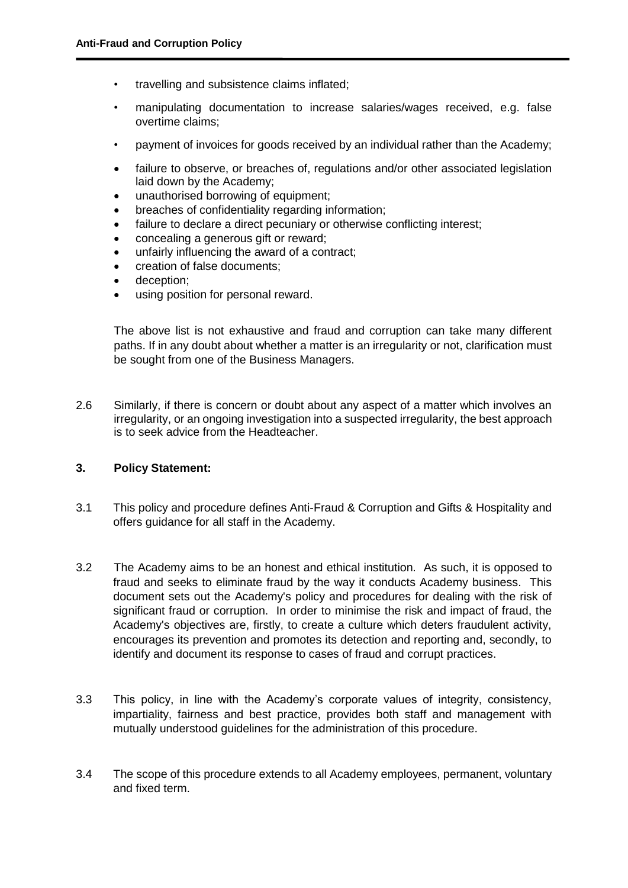- travelling and subsistence claims inflated;
- manipulating documentation to increase salaries/wages received, e.g. false overtime claims;
- payment of invoices for goods received by an individual rather than the Academy;
- failure to observe, or breaches of, regulations and/or other associated legislation laid down by the Academy;
- unauthorised borrowing of equipment;
- breaches of confidentiality regarding information;
- failure to declare a direct pecuniary or otherwise conflicting interest;
- concealing a generous gift or reward;
- unfairly influencing the award of a contract;
- creation of false documents;
- deception;
- using position for personal reward.

The above list is not exhaustive and fraud and corruption can take many different paths. If in any doubt about whether a matter is an irregularity or not, clarification must be sought from one of the Business Managers.

2.6 Similarly, if there is concern or doubt about any aspect of a matter which involves an irregularity, or an ongoing investigation into a suspected irregularity, the best approach is to seek advice from the Headteacher.

#### **3. Policy Statement:**

- 3.1 This policy and procedure defines Anti-Fraud & Corruption and Gifts & Hospitality and offers guidance for all staff in the Academy.
- 3.2 The Academy aims to be an honest and ethical institution. As such, it is opposed to fraud and seeks to eliminate fraud by the way it conducts Academy business. This document sets out the Academy's policy and procedures for dealing with the risk of significant fraud or corruption. In order to minimise the risk and impact of fraud, the Academy's objectives are, firstly, to create a culture which deters fraudulent activity, encourages its prevention and promotes its detection and reporting and, secondly, to identify and document its response to cases of fraud and corrupt practices.
- 3.3 This policy, in line with the Academy's corporate values of integrity, consistency, impartiality, fairness and best practice, provides both staff and management with mutually understood guidelines for the administration of this procedure.
- 3.4 The scope of this procedure extends to all Academy employees, permanent, voluntary and fixed term.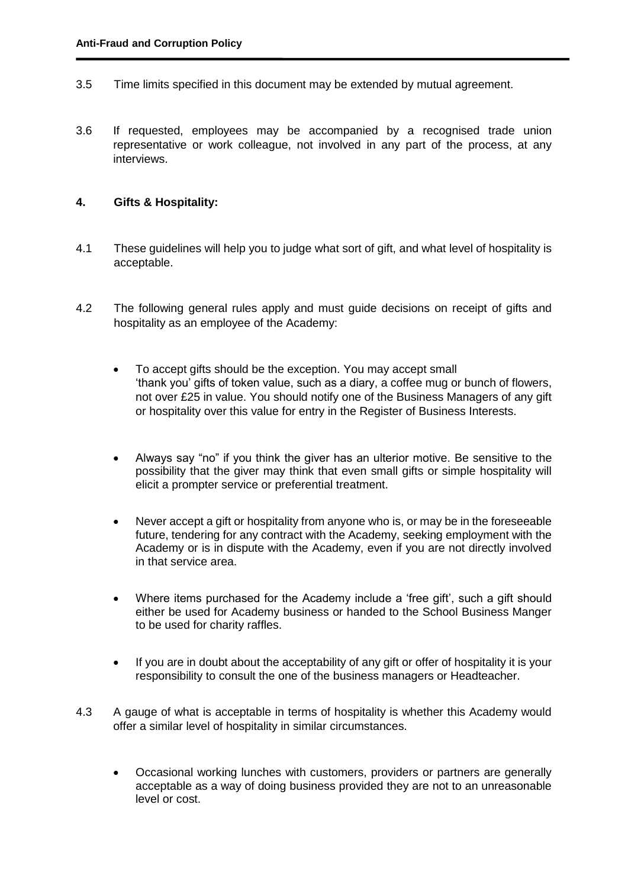- 3.5 Time limits specified in this document may be extended by mutual agreement.
- 3.6 If requested, employees may be accompanied by a recognised trade union representative or work colleague, not involved in any part of the process, at any interviews.

# **4. Gifts & Hospitality:**

- 4.1 These guidelines will help you to judge what sort of gift, and what level of hospitality is acceptable.
- 4.2 The following general rules apply and must guide decisions on receipt of gifts and hospitality as an employee of the Academy:
	- To accept gifts should be the exception. You may accept small 'thank you' gifts of token value, such as a diary, a coffee mug or bunch of flowers, not over £25 in value. You should notify one of the Business Managers of any gift or hospitality over this value for entry in the Register of Business Interests.
	- Always say "no" if you think the giver has an ulterior motive. Be sensitive to the possibility that the giver may think that even small gifts or simple hospitality will elicit a prompter service or preferential treatment.
	- Never accept a gift or hospitality from anyone who is, or may be in the foreseeable future, tendering for any contract with the Academy, seeking employment with the Academy or is in dispute with the Academy, even if you are not directly involved in that service area.
	- Where items purchased for the Academy include a 'free gift', such a gift should either be used for Academy business or handed to the School Business Manger to be used for charity raffles.
	- If you are in doubt about the acceptability of any gift or offer of hospitality it is your responsibility to consult the one of the business managers or Headteacher.
- 4.3 A gauge of what is acceptable in terms of hospitality is whether this Academy would offer a similar level of hospitality in similar circumstances.
	- Occasional working lunches with customers, providers or partners are generally acceptable as a way of doing business provided they are not to an unreasonable level or cost.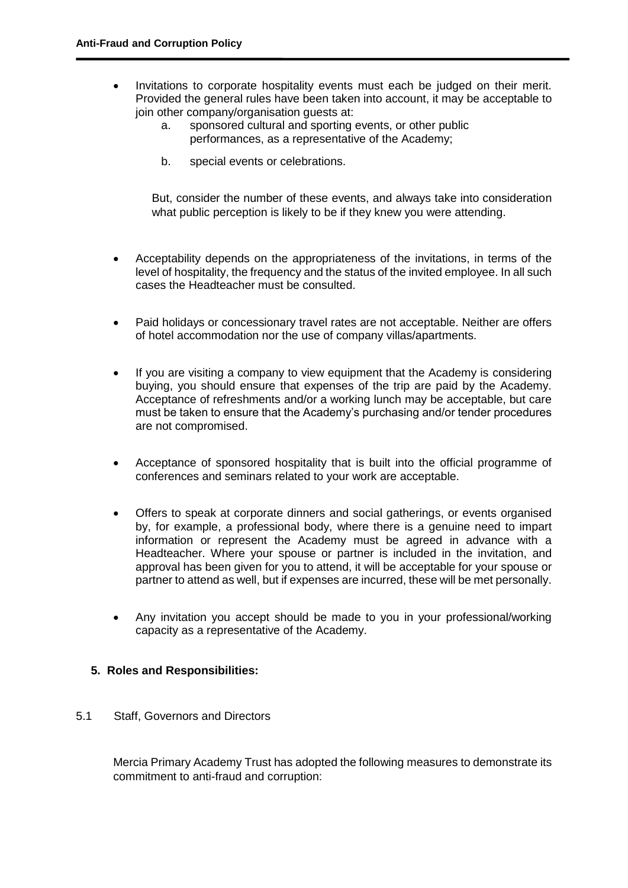- Invitations to corporate hospitality events must each be judged on their merit. Provided the general rules have been taken into account, it may be acceptable to join other company/organisation quests at:
	- a. sponsored cultural and sporting events, or other public performances, as a representative of the Academy;
	- b. special events or celebrations.

But, consider the number of these events, and always take into consideration what public perception is likely to be if they knew you were attending.

- Acceptability depends on the appropriateness of the invitations, in terms of the level of hospitality, the frequency and the status of the invited employee. In all such cases the Headteacher must be consulted.
- Paid holidays or concessionary travel rates are not acceptable. Neither are offers of hotel accommodation nor the use of company villas/apartments.
- If you are visiting a company to view equipment that the Academy is considering buying, you should ensure that expenses of the trip are paid by the Academy. Acceptance of refreshments and/or a working lunch may be acceptable, but care must be taken to ensure that the Academy's purchasing and/or tender procedures are not compromised.
- Acceptance of sponsored hospitality that is built into the official programme of conferences and seminars related to your work are acceptable.
- Offers to speak at corporate dinners and social gatherings, or events organised by, for example, a professional body, where there is a genuine need to impart information or represent the Academy must be agreed in advance with a Headteacher. Where your spouse or partner is included in the invitation, and approval has been given for you to attend, it will be acceptable for your spouse or partner to attend as well, but if expenses are incurred, these will be met personally.
- Any invitation you accept should be made to you in your professional/working capacity as a representative of the Academy.

#### **5. Roles and Responsibilities:**

#### 5.1 Staff, Governors and Directors

Mercia Primary Academy Trust has adopted the following measures to demonstrate its commitment to anti-fraud and corruption: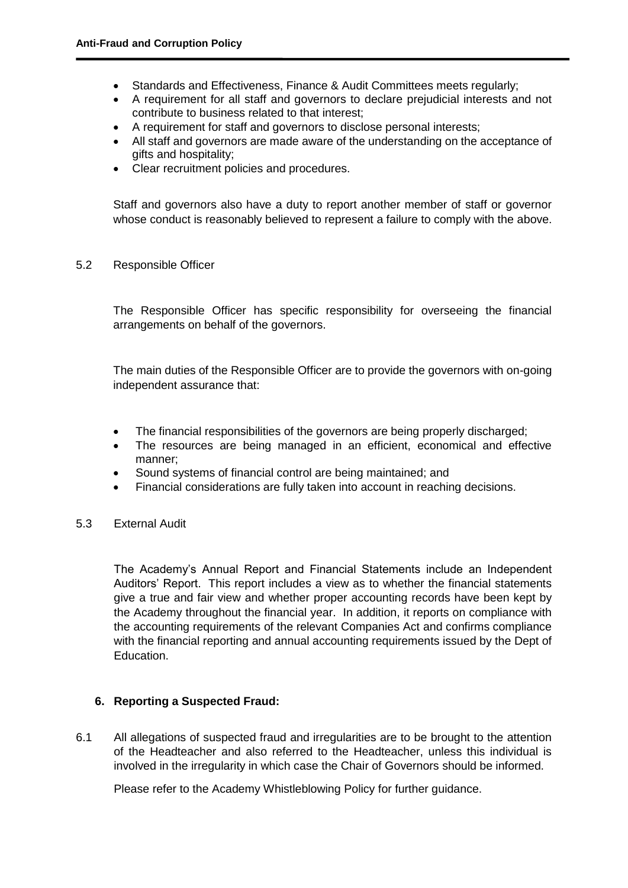- Standards and Effectiveness, Finance & Audit Committees meets regularly;
- A requirement for all staff and governors to declare prejudicial interests and not contribute to business related to that interest;
- A requirement for staff and governors to disclose personal interests;
- All staff and governors are made aware of the understanding on the acceptance of gifts and hospitality;
- Clear recruitment policies and procedures.

Staff and governors also have a duty to report another member of staff or governor whose conduct is reasonably believed to represent a failure to comply with the above.

5.2 Responsible Officer

The Responsible Officer has specific responsibility for overseeing the financial arrangements on behalf of the governors.

The main duties of the Responsible Officer are to provide the governors with on-going independent assurance that:

- The financial responsibilities of the governors are being properly discharged;
- The resources are being managed in an efficient, economical and effective manner;
- Sound systems of financial control are being maintained; and
- Financial considerations are fully taken into account in reaching decisions.
- 5.3 External Audit

The Academy's Annual Report and Financial Statements include an Independent Auditors' Report. This report includes a view as to whether the financial statements give a true and fair view and whether proper accounting records have been kept by the Academy throughout the financial year. In addition, it reports on compliance with the accounting requirements of the relevant Companies Act and confirms compliance with the financial reporting and annual accounting requirements issued by the Dept of Education.

# **6. Reporting a Suspected Fraud:**

6.1 All allegations of suspected fraud and irregularities are to be brought to the attention of the Headteacher and also referred to the Headteacher, unless this individual is involved in the irregularity in which case the Chair of Governors should be informed.

Please refer to the Academy Whistleblowing Policy for further guidance.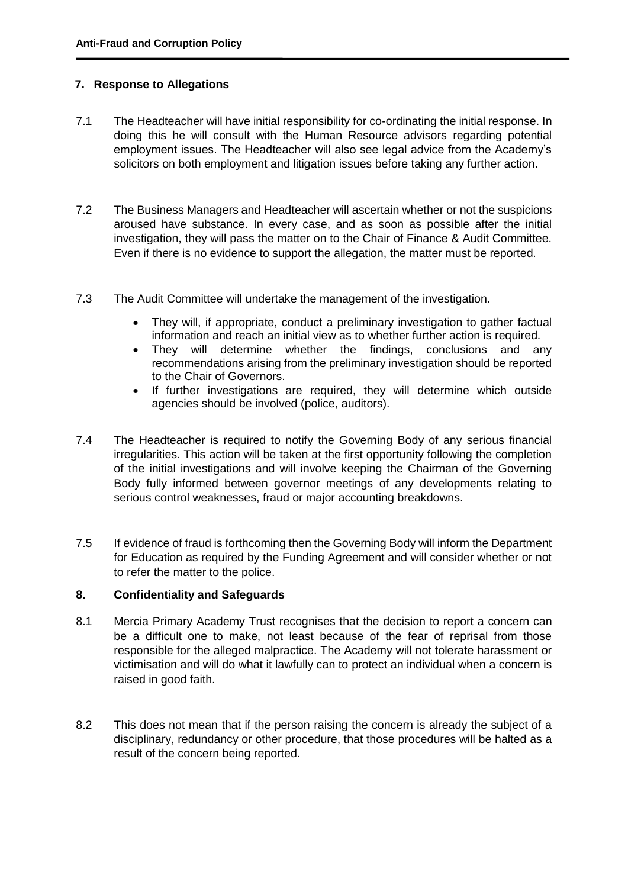# **7. Response to Allegations**

- 7.1 The Headteacher will have initial responsibility for co-ordinating the initial response. In doing this he will consult with the Human Resource advisors regarding potential employment issues. The Headteacher will also see legal advice from the Academy's solicitors on both employment and litigation issues before taking any further action.
- 7.2 The Business Managers and Headteacher will ascertain whether or not the suspicions aroused have substance. In every case, and as soon as possible after the initial investigation, they will pass the matter on to the Chair of Finance & Audit Committee. Even if there is no evidence to support the allegation, the matter must be reported.
- 7.3 The Audit Committee will undertake the management of the investigation.
	- They will, if appropriate, conduct a preliminary investigation to gather factual information and reach an initial view as to whether further action is required.
	- They will determine whether the findings, conclusions and any recommendations arising from the preliminary investigation should be reported to the Chair of Governors.
	- If further investigations are required, they will determine which outside agencies should be involved (police, auditors).
- 7.4 The Headteacher is required to notify the Governing Body of any serious financial irregularities. This action will be taken at the first opportunity following the completion of the initial investigations and will involve keeping the Chairman of the Governing Body fully informed between governor meetings of any developments relating to serious control weaknesses, fraud or major accounting breakdowns.
- 7.5 If evidence of fraud is forthcoming then the Governing Body will inform the Department for Education as required by the Funding Agreement and will consider whether or not to refer the matter to the police.

# **8. Confidentiality and Safeguards**

- 8.1 Mercia Primary Academy Trust recognises that the decision to report a concern can be a difficult one to make, not least because of the fear of reprisal from those responsible for the alleged malpractice. The Academy will not tolerate harassment or victimisation and will do what it lawfully can to protect an individual when a concern is raised in good faith.
- 8.2 This does not mean that if the person raising the concern is already the subject of a disciplinary, redundancy or other procedure, that those procedures will be halted as a result of the concern being reported.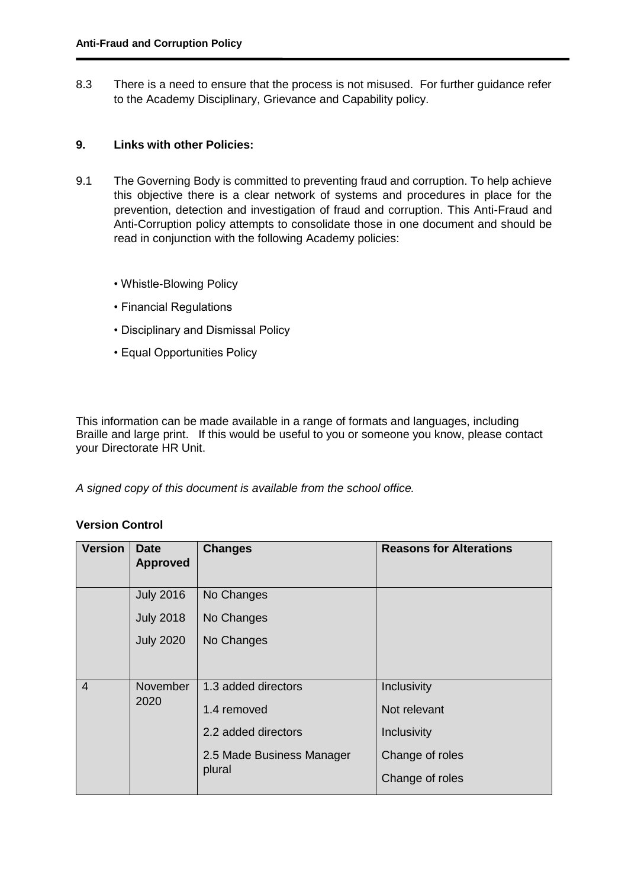8.3 There is a need to ensure that the process is not misused. For further guidance refer to the Academy Disciplinary, Grievance and Capability policy.

# **9. Links with other Policies:**

- 9.1 The Governing Body is committed to preventing fraud and corruption. To help achieve this objective there is a clear network of systems and procedures in place for the prevention, detection and investigation of fraud and corruption. This Anti-Fraud and Anti-Corruption policy attempts to consolidate those in one document and should be read in conjunction with the following Academy policies:
	- Whistle-Blowing Policy
	- Financial Regulations
	- Disciplinary and Dismissal Policy
	- Equal Opportunities Policy

This information can be made available in a range of formats and languages, including Braille and large print. If this would be useful to you or someone you know, please contact your Directorate HR Unit.

*A signed copy of this document is available from the school office.*

# **Version Control**

| <b>Version</b>                     | <b>Date</b><br><b>Approved</b> | <b>Changes</b>            | <b>Reasons for Alterations</b> |
|------------------------------------|--------------------------------|---------------------------|--------------------------------|
|                                    | <b>July 2016</b>               | No Changes                |                                |
|                                    | <b>July 2018</b>               | No Changes                |                                |
|                                    | <b>July 2020</b>               | No Changes                |                                |
|                                    |                                |                           |                                |
| $\overline{4}$<br>November<br>2020 |                                | 1.3 added directors       | Inclusivity                    |
|                                    | 1.4 removed                    | Not relevant              |                                |
|                                    |                                | 2.2 added directors       | Inclusivity                    |
|                                    |                                | 2.5 Made Business Manager | Change of roles                |
|                                    |                                | plural                    | Change of roles                |